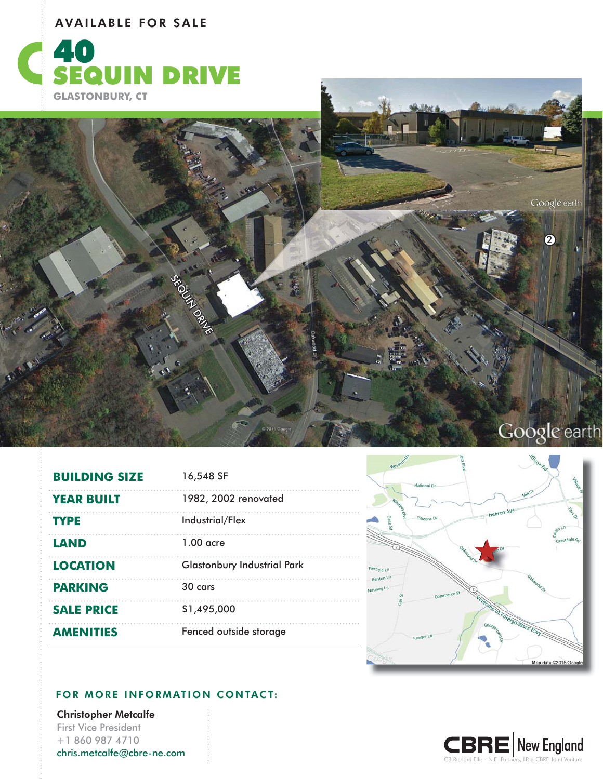## AVAILABLE FOR SALE





| <b>BUILDING SIZE</b> | 16,548 SF                          |
|----------------------|------------------------------------|
| <b>YEAR BUILT</b>    | 1982, 2002 renovated               |
| <b>TYPE</b>          | Industrial/Flex                    |
| <b>LAND</b>          | $1.00$ acre                        |
| <b>LOCATION</b>      | <b>Glastonbury Industrial Park</b> |
| <b>PARKING</b>       | $30 \text{ cars}$                  |
| <b>SALE PRICE</b>    | \$1,495,000                        |
| <b>AMENITIES</b>     | Fenced outside storage             |



## FOR MORE INFORMATION CONTACT:

Christopher Metcalfe First Vice President +1 860 987 4710 chris.metcalfe@cbre-ne.com